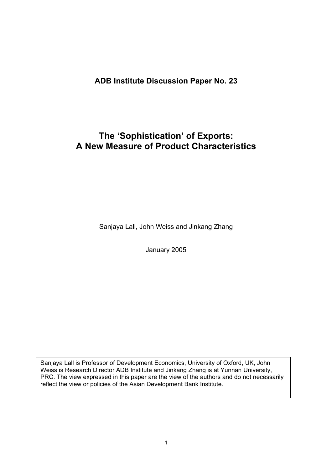## **ADB Institute Discussion Paper No. 23**

# **The 'Sophistication' of Exports: A New Measure of Product Characteristics**

Sanjaya Lall, John Weiss and Jinkang Zhang

January 2005

Sanjaya Lall is Professor of Development Economics, University of Oxford, UK, John Weiss is Research Director ADB Institute and Jinkang Zhang is at Yunnan University, PRC. The view expressed in this paper are the view of the authors and do not necessarily reflect the view or policies of the Asian Development Bank Institute.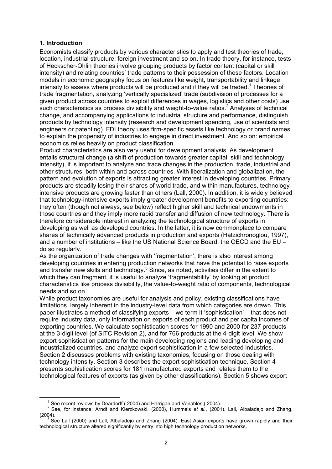#### **1. Introduction**

Economists classify products by various characteristics to apply and test theories of trade, location, industrial structure, foreign investment and so on. In trade theory, for instance, tests of Heckscher-Ohlin theories involve grouping products by factor content (capital or skill intensity) and relating countries' trade patterns to their possession of these factors. Location models in economic geography focus on features like weight, transportability and linkage intensity to assess where products will be produced and if they will be traded.<sup>1</sup> Theories of trade fragmentation, analyzing 'vertically specialized' trade (subdivision of processes for a given product across countries to exploit differences in wages, logistics and other costs) use such characteristics as process divisibility and weight-to-value ratios.<sup>2</sup> Analyses of technical change, and accompanying applications to industrial structure and performance, distinguish products by technology intensity (research and development spending, use of scientists and engineers or patenting). FDI theory uses firm-specific assets like technology or brand names to explain the propensity of industries to engage in direct investment. And so on: empirical economics relies heavily on product classification.

Product characteristics are also very useful for development analysis. As development entails structural change (a shift of production towards greater capital, skill and technology intensity), it is important to analyze and trace changes in the production, trade, industrial and other structures, both within and across countries. With liberalization and globalization, the pattern and evolution of exports is attracting greater interest in developing countries. Primary products are steadily losing their shares of world trade, and within manufactures, technologyintensive products are growing faster than others (Lall, 2000). In addition, it is widely believed that technology-intensive exports imply greater development benefits to exporting countries: they often (though not always, see below) reflect higher skill and technical endowments in those countries and they imply more rapid transfer and diffusion of new technology. There is therefore considerable interest in analyzing the technological structure of exports in developing as well as developed countries. In the latter, it is now commonplace to compare shares of technically advanced products in production and exports (Hatzichronoglou, 1997), and a number of institutions – like the US National Science Board, the OECD and the EU – do so regularly.

As the organization of trade changes with 'fragmentation', there is also interest among developing countries in entering production networks that have the potential to raise exports and transfer new skills and technology. $3$  Since, as noted, activities differ in the extent to which they can fragment, it is useful to analyze 'fragmentability' by looking at product characteristics like process divisibility, the value-to-weight ratio of components, technological needs and so on.

While product taxonomies are useful for analysis and policy, existing classifications have limitations, largely inherent in the industry-level data from which categories are drawn. This paper illustrates a method of classifying exports – we term it 'sophistication' – that does not require industry data, only information on exports of each product and per capita incomes of exporting countries. We calculate sophistication scores for 1990 and 2000 for 237 products at the 3-digit level (of SITC Revision 2), and for 766 products at the 4-digit level. We show export sophistication patterns for the main developing regions and leading developing and industrialized countries, and analyze export sophistication in a few selected industries. Section 2 discusses problems with existing taxonomies, focusing on those dealing with technology intensity. Section 3 describes the export sophistication technique. Section 4 presents sophistication scores for 181 manufactured exports and relates them to the technological features of exports (as given by other classifications). Section 5 shows export

 $\overline{\phantom{0}}$  $1$  See recent reviews by Deardorff ( 2004) and Harrigan and Venables. (2004).

<sup>2</sup> See, for instance, Arndt and Kierzkowski, (2000), Hummels *et al.*, (2001), Lall, Albaladejo and Zhang, (2004).<br><sup>3</sup> See Lall (2000) and Lall, Albaladejo and Zhang (2004). East Asian exports have grown rapidly and their

technological structure altered significantly by entry into high technology production networks.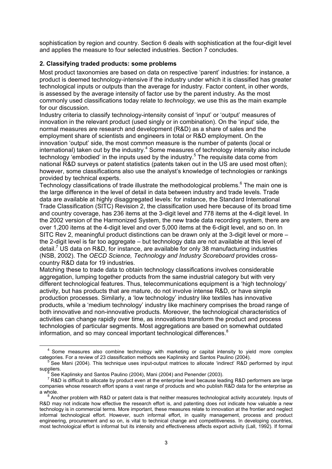sophistication by region and country. Section 6 deals with sophistication at the four-digit level and applies the measure to four selected industries. Section 7 concludes.

#### **2. Classifying traded products: some problems**

Most product taxonomies are based on data on respective 'parent' industries: for instance, a product is deemed technology-intensive if the industry under which it is classified has greater technological inputs or outputs than the average for industry. Factor content, in other words, is assessed by the average intensity of factor use by the parent industry. As the most commonly used classifications today relate to *technology,* we use this as the main example for our discussion.

Industry criteria to classify technology-intensity consist of 'input' or 'output' measures of innovation in the relevant product (used singly or in combination). On the 'input' side, the normal measures are research and development (R&D) as a share of sales and the employment share of scientists and engineers in total or R&D employment. On the innovation 'output' side, the most common measure is the number of patents (local or international) taken out by the industry.<sup>4</sup> Some measures of technology intensity also include technology 'embodied' in the inputs used by the industry.<sup>5</sup> The requisite data come from national R&D surveys or patent statistics (patents taken out in the US are used most often); however, some classifications also use the analyst's knowledge of technologies or rankings provided by technical experts.

Technology classifications of trade illustrate the methodological problems.<sup>6</sup> The main one is the large difference in the level of detail in data between industry and trade levels. Trade data are available at highly disaggregated levels: for instance, the Standard International Trade Classification (SITC) Revision 2, the classification used here because of its broad time and country coverage, has 236 items at the 3-digit level and 778 items at the 4-digit level. In the 2002 version of the Harmonized System, the new trade data recording system, there are over 1,200 items at the 4-digit level and over 5,000 items at the 6-digit level, and so on. In SITC Rev 2, meaningful product distinctions can be drawn only at the 3-digit level or more – the 2-digit level is far too aggregate – but technology data are not available at this level of detail.<sup>7</sup> US data on R&D, for instance, are available for only 38 manufacturing industries (NSB, 2002). The *OECD Science, Technology and Industry Scoreboard* provides crosscountry R&D data for 19 industries.

Matching these to trade data to obtain technology classifications involves considerable aggregation, lumping together products from the same industrial category but with very different technological features. Thus, telecommunications equipment is a 'high technology' activity, but has products that are mature, do not involve intense R&D, or have simple production processes. Similarly, a 'low technology' industry like textiles has innovative products, while a 'medium technology' industry like machinery comprises the broad range of both innovative and non-innovative products. Moreover, the technological characteristics of activities can change rapidly over time, as innovations transform the product and process technologies of particular segments. Most aggregations are based on somewhat outdated information, and so may conceal important technological differences.<sup>8</sup>

 $<sup>4</sup>$  Some measures also combine technology with marketing or capital intensity to yield more complex</sup> categories. For a review of 23 classification methods see Kaplinsky and Santos Paulino (2004).

See Mani (2004). This technique uses input-output matrices to allocate 'indirect' R&D performed by input suppliers.

See Kaplinsky and Santos Paulino (2004), Mani (2004) and Penender (2003).

 $^7$  R&D is difficult to allocate by product even at the enterprise level because leading R&D performers are large companies whose research effort spans a vast range of products and who publish R&D data for the enterprise as a whole.

Another problem with R&D or patent data is that neither measures technological activity accurately. Inputs of R&D may not indicate how effective the research effort is, and patenting does not indicate how valuable a new technology is in commercial terms. More important, these measures relate to innovation at the frontier and neglect informal technological effort. However, such informal effort, in quality management, process and product engineering, procurement and so on, is vital to technical change and competitiveness. In developing countries, most technological effort is informal but its intensity and effectiveness affects export activity (Lall, 1992). If formal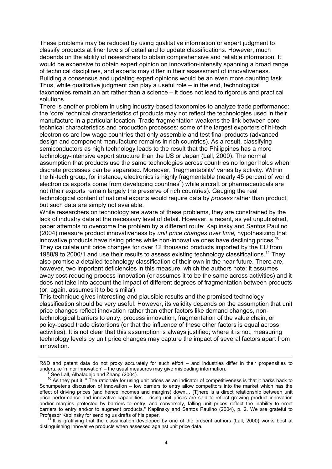These problems may be reduced by using qualitative information or expert judgment to classify products at finer levels of detail and to update classifications. However, much depends on the ability of researchers to obtain comprehensive and reliable information. It would be expensive to obtain expert opinion on innovation-intensity spanning a broad range of technical disciplines, and experts may differ in their assessment of innovativeness. Building a consensus and updating expert opinions would be an even more daunting task. Thus, while qualitative judgment can play a useful role – in the end, technological taxonomies remain an art rather than a science – it does not lead to rigorous and practical solutions.

There is another problem in using industry-based taxonomies to analyze trade performance: the 'core' technical characteristics of products may not reflect the technologies used in their manufacture in a particular location. Trade fragmentation weakens the link between core technical characteristics and production processes: some of the largest exporters of hi-tech electronics are low wage countries that only assemble and test final products (advanced design and component manufacture remains in rich countries). As a result, classifying semiconductors as high technology leads to the result that the Philippines has a more technology-intensive export structure than the US or Japan (Lall, 2000). The normal assumption that products use the same technologies across countries no longer holds when discrete processes can be separated. Moreover, 'fragmentability' varies by activity. Within the hi-tech group, for instance, electronics is highly fragmentable (nearly 45 percent of world electronics exports come from developing countries<sup>9</sup>) while aircraft or pharmaceuticals are not (their exports remain largely the preserve of rich countries). Gauging the real technological content of national exports would require data by *process* rather than product, but such data are simply not available.

While researchers on technology are aware of these problems, they are constrained by the lack of industry data at the necessary level of detail. However, a recent, as yet unpublished, paper attempts to overcome the problem by a different route: Kaplinsky and Santos Paulino (2004) measure product innovativeness by *unit price changes over time,* hypothesizing that innovative products have rising prices while non-innovative ones have declining prices.<sup>10</sup> They calculate unit price changes for over 12 thousand products imported by the EU from 1988/9 to 2000/1 and use their results to assess existing technology classifications.<sup>11</sup> They also promise a detailed technology classification of their own in the near future. There are, however, two important deficiencies in this measure, which the authors note: it assumes away cost-reducing process innovation (or assumes it to be the same across activities) and it does not take into account the impact of different degrees of fragmentation between products (or, again, assumes it to be similar).

This technique gives interesting and plausible results and the promised technology classification should be very useful. However, its validity depends on the assumption that unit price changes reflect innovation rather than other factors like demand changes, nontechnological barriers to entry, process innovation, fragmentation of the value chain, or policy-based trade distortions (or that the influence of these other factors is equal across activities). It is not clear that this assumption is always justified; where it is not, measuring technology levels by unit price changes may capture the impact of several factors apart from innovation.

 $\overline{a}$ 

distinguishing innovative products when assessed against unit price data.

R&D and patent data do not proxy accurately for such effort – and industries differ in their propensities to undertake 'minor innovation' – the usual measures may give misleading information. 9

See Lall, Albaladejo and Zhang (2004).

<sup>&</sup>lt;sup>10</sup> As they put it, " The rationale for using unit prices as an indicator of competitiveness is that it harks back to Schumpeter's discussion of innovation – low barriers to entry allow competitors into the market which has the effect of driving prices (and hence incomes and margins) down… [T]here is a direct relationship between unit price performance and innovative capabilities – rising unit prices are said to reflect growing product innovation and/or margins protected by barriers to entry, and conversely, falling unit prices reflect the inability to erect barriers to entry and/or to augment products." Kaplinsky and Santos Paulino (2004), p. 2. We are grateful to Professor Kaplinsky for sending us drafts of his paper.<br><sup>11</sup> It is gratifying that the classification developed by one of the present authors (Lall, 2000) works best at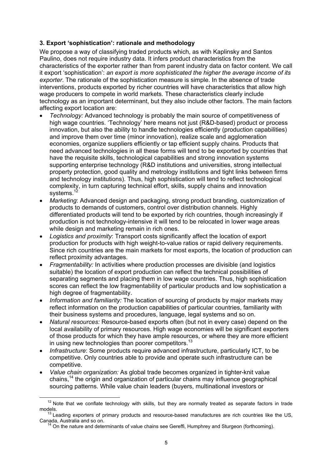#### **3. Export 'sophistication': rationale and methodology**

We propose a way of classifying traded products which, as with Kaplinsky and Santos Paulino, does not require industry data. It infers product characteristics from the characteristics of the exporter rather than from parent industry data on factor content. We call it export 'sophistication': *an export is more sophisticated the higher the average income of its exporter*. The rationale of the sophistication measure is simple. In the absence of trade interventions, products exported by richer countries will have characteristics that allow high wage producers to compete in world markets. These characteristics clearly include technology as an important determinant, but they also include other factors. The main factors affecting export location are:

- *Technology:* Advanced technology is probably the main source of competitiveness of high wage countries. 'Technology' here means not just (R&D-based) product or process innovation, but also the ability to handle technologies efficiently (production capabilities) and improve them over time (minor innovation), realize scale and agglomeration economies, organize suppliers efficiently or tap efficient supply chains. Products that need advanced technologies in all these forms will tend to be exported by countries that have the requisite skills, technological capabilities and strong innovation systems supporting enterprise technology (R&D institutions and universities, strong intellectual property protection, good quality and metrology institutions and tight links between firms and technology institutions). Thus, high sophistication will tend to reflect technological complexity, in turn capturing technical effort, skills, supply chains and innovation systems.<sup>1</sup>
- *Marketing*: Advanced design and packaging, strong product branding, customization of products to demands of customers, control over distribution channels. Highly differentiated products will tend to be exported by rich countries, though increasingly if production is not technology-intensive it will tend to be relocated in lower wage areas while design and marketing remain in rich ones.
- *Logistics and proximity*: Transport costs significantly affect the location of export production for products with high weight-to-value ratios or rapid delivery requirements. Since rich countries are the main markets for most exports, the location of production can reflect proximity advantages.
- *Fragmentability:* In activities where production processes are divisible (and logistics suitable) the location of export production can reflect the technical possibilities of separating segments and placing them in low wage countries. Thus, high sophistication scores can reflect the low fragmentability of particular products and low sophistication a high degree of fragmentability.
- *Information and familiarity:* The location of sourcing of products by major markets may reflect information on the production capabilities of particular countries, familiarity with their business systems and procedures, language, legal systems and so on.
- *Natural resources:* Resource-based exports often (but not in every case) depend on the local availability of primary resources. High wage economies will be significant exporters of those products for which they have ample resources, or where they are more efficient in using new technologies than poorer competitors.<sup>13</sup>
- *Infrastructure*: Some products require advanced infrastructure, particularly ICT, to be competitive. Only countries able to provide and operate such infrastructure can be competitive.
- *Value chain organization:* As global trade becomes organized in tighter-knit value chains,14 the origin and organization of particular chains may influence geographical sourcing patterns. While value chain leaders (buyers, multinational investors or

 $12$  Note that we conflate technology with skills, but they are normally treated as separate factors in trade

models.<br><sup>13</sup> Leading exporters of primary products and resource-based manufactures are rich countries like the US,<br>Canada, Australia and so on.

<sup>&</sup>lt;sup>14</sup> On the nature and determinants of value chains see Gereffi, Humphrey and Sturgeon (forthcoming).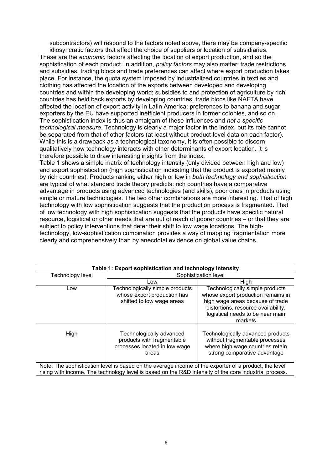subcontractors) will respond to the factors noted above, there may be company-specific

idiosyncratic factors that affect the choice of suppliers or location of subsidiaries. These are the *economic* factors affecting the location of export production, and so the sophistication of each product. In addition, *policy factors* may also matter: trade restrictions and subsidies, trading blocs and trade preferences can affect where export production takes place. For instance, the quota system imposed by industrialized countries in textiles and clothing has affected the location of the exports between developed and developing countries and within the developing world; subsidies to and protection of agriculture by rich countries has held back exports by developing countries, trade blocs like NAFTA have affected the location of export activity in Latin America; preferences to banana and sugar exporters by the EU have supported inefficient producers in former colonies, and so on. The sophistication index is thus an amalgam of these influences and *not a specific technological measure*. Technology is clearly a major factor in the index, but its role cannot be separated from that of other factors (at least without product-level data on each factor). While this is a drawback as a technological taxonomy, it is often possible to discern qualitatively how technology interacts with other determinants of export location. It is therefore possible to draw interesting insights from the index.

Table 1 shows a simple matrix of technology intensity (only divided between high and low) and export sophistication (high sophistication indicating that the product is exported mainly by rich countries). Products ranking either high or low in *both technology and sophistication* are typical of what standard trade theory predicts: rich countries have a comparative advantage in products using advanced technologies (and skills), poor ones in products using simple or mature technologies. The two other combinations are more interesting. That of high technology with low sophistication suggests that the production process is fragmented. That of low technology with high sophistication suggests that the products have specific natural resource, logistical or other needs that are out of reach of poorer countries – or that they are subject to policy interventions that deter their shift to low wage locations. The hightechnology, low-sophistication combination provides a way of mapping fragmentation more clearly and comprehensively than by anecdotal evidence on global value chains.

|                  | Table 1: Export sophistication and technology intensity                                          |                                                                                                                                                                                                 |  |  |  |  |  |  |  |  |
|------------------|--------------------------------------------------------------------------------------------------|-------------------------------------------------------------------------------------------------------------------------------------------------------------------------------------------------|--|--|--|--|--|--|--|--|
| Technology level | Sophistication level                                                                             |                                                                                                                                                                                                 |  |  |  |  |  |  |  |  |
|                  | Low                                                                                              | High                                                                                                                                                                                            |  |  |  |  |  |  |  |  |
| Low              | Technologically simple products<br>whose export production has<br>shifted to low wage areas      | Technologically simple products<br>whose export production remains in<br>high wage areas because of trade<br>distortions, resource availability,<br>logistical needs to be near main<br>markets |  |  |  |  |  |  |  |  |
| High             | Technologically advanced<br>products with fragmentable<br>processes located in low wage<br>areas | Technologically advanced products<br>without fragmentable processes<br>where high wage countries retain<br>strong comparative advantage                                                         |  |  |  |  |  |  |  |  |

Note: The sophistication level is based on the average income of the exporter of a product, the level rising with income. The technology level is based on the R&D intensity of the core industrial process.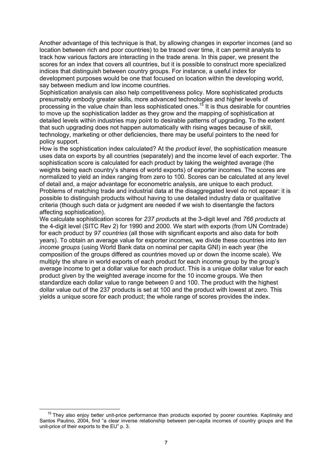Another advantage of this technique is that, by allowing changes in exporter incomes (and so location between rich and poor countries) to be traced over time, it can permit analysts to track how various factors are interacting in the trade arena. In this paper, we present the scores for an index that covers all countries, but it is possible to construct more specialized indices that distinguish between country groups. For instance, a useful index for development purposes would be one that focused on location within the developing world, say between medium and low income countries.

Sophistication analysis can also help competitiveness policy. More sophisticated products presumably embody greater skills, more advanced technologies and higher levels of processing in the value chain than less sophisticated ones.15 It is thus desirable for countries to move up the sophistication ladder as they grow and the mapping of sophistication at detailed levels within industries may point to desirable patterns of upgrading. To the extent that such upgrading does not happen automatically with rising wages because of skill, technology, marketing or other deficiencies, there may be useful pointers to the need for policy support.

How is the sophistication index calculated? At the *product level*, the sophistication measure uses data on exports by all countries (separately) and the income level of each exporter. The sophistication score is calculated for each product by taking the weighted average (the weights being each country's shares of world exports) of exporter incomes. The scores are normalized to yield an index ranging from zero to 100. Scores can be calculated at any level of detail and, a major advantage for econometric analysis, are unique to each product. Problems of matching trade and industrial data at the disaggregated level do not appear: it is possible to distinguish products without having to use detailed industry data or qualitative criteria (though such data or judgment are needed if we wish to disentangle the factors affecting sophistication).

We calculate sophistication scores for *237 produc*ts at the 3-digit level and *766 products* at the 4-digit level (SITC Rev 2) for 1990 and 2000. We start with exports (from UN Comtrade) for each product by *97 countries* (all those with significant exports and also data for both years). To obtain an average value for exporter incomes, we divide these countries into *ten income groups* (using World Bank data on nominal per capita GNI) in each year (the composition of the groups differed as countries moved up or down the income scale). We multiply the share in world exports of each product for each income group by the group's average income to get a dollar value for each product. This is a unique dollar value for each product given by the weighted average income for the 10 income groups. We then standardize each dollar value to range between 0 and 100. The product with the highest dollar value out of the 237 products is set at 100 and the product with lowest at zero. This yields a unique score for each product; the whole range of scores provides the index.

<sup>&</sup>lt;sup>15</sup> They also enjoy better unit-price performance than products exported by poorer countries. Kaplinsky and Santos Paulino, 2004, find "a clear inverse relationship between per-capita incomes of country groups and the unit-price of their exports to the EU" p. 3.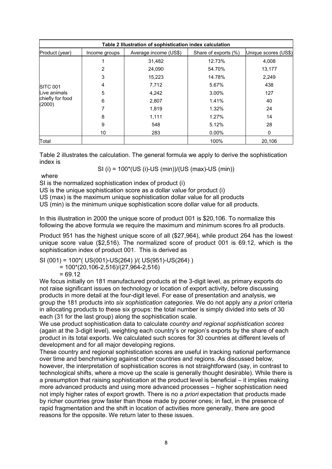| Table 2 Illustration of sophistication index calculation |               |                       |                      |                      |  |  |  |  |  |  |
|----------------------------------------------------------|---------------|-----------------------|----------------------|----------------------|--|--|--|--|--|--|
| Product (year)                                           | Income groups | Average income (US\$) | Share of exports (%) | Unique scores (US\$) |  |  |  |  |  |  |
|                                                          |               | 31,482                | 12.73%               | 4,008                |  |  |  |  |  |  |
|                                                          | 2             | 24,090                | 54.70%               | 13,177               |  |  |  |  |  |  |
|                                                          | 3             | 15,223                | 14.78%               | 2,249                |  |  |  |  |  |  |
| <b>ISITC 001</b>                                         | 4             | 7,712                 | 5.67%                | 438                  |  |  |  |  |  |  |
| Live animals                                             | 5             | 4,242                 | 3.00%                | 127                  |  |  |  |  |  |  |
| chiefly for food<br>(2000)                               | 6             | 2,807                 | 1.41%                | 40                   |  |  |  |  |  |  |
|                                                          |               | 1,819                 | 1.32%                | 24                   |  |  |  |  |  |  |
|                                                          | 8             | 1,111                 | 1.27%                | 14                   |  |  |  |  |  |  |
|                                                          | 9             | 548                   | 5.12%                | 28                   |  |  |  |  |  |  |
|                                                          | 10            | 283                   | $0.00\%$             | 0                    |  |  |  |  |  |  |
| Total                                                    |               |                       | 100%                 | 20,106               |  |  |  |  |  |  |

Table 2 illustrates the calculation. The general formula we apply to derive the sophistication index is

SI (i) = 100\*(US (i)-US (min))/(US (max)-US (min))

where

SI is the normalized sophistication index of product (i)

US is the unique sophistication score as a dollar value for product (i)

US (max) is the maximum unique sophistication dollar value for all products

US (min) is the minimum unique sophistication score dollar value for all products.

In this illustration in 2000 the unique score of product 001 is \$20,106. To normalize this following the above formula we require the maximum and minimum scores fro all products.

Product 951 has the highest unique score of all (\$27,964), while product 264 has the lowest unique score value (\$2,516). The normalized score of product 001 is 69.12, which is the sophistication index of product 001. This is derived as

SI (001) = 100\*( US(001)-US(264) )/( US(951)-US(264) )

 $= 100*(20, 106-2, 516)/(27, 964-2, 516)$ 

 $= 69.12$ 

We focus initially on 181 manufactured products at the 3-digit level, as primary exports do not raise significant issues on technology or location of export activity, before discussing products in more detail at the four-digit level. For ease of presentation and analysis, we group the 181 products into *six sophistication categories*. We do not apply any *a priori* criteria in allocating products to these six groups: the total number is simply divided into sets of 30 each (31 for the last group) along the sophistication scale.

We use product sophistication data to calculate *country and regional sophistication scores*  (again at the 3-digit level)*,* weighting each country's or region's exports by the share of each product in its total exports. We calculated such scores for 30 countries at different levels of development and for all major developing regions.

These country and regional sophistication scores are useful in tracking national performance over time and benchmarking against other countries and regions. As discussed below, however, the interpretation of sophistication scores is not straightforward (say, in contrast to technological shifts, where a move up the scale is generally thought desirable). While there is a presumption that raising sophistication at the product level is beneficial – it implies making more advanced products and using more advanced processes – higher sophistication need not imply higher rates of export growth. There is no *a priori* expectation that products made by richer countries grow faster than those made by poorer ones; in fact, in the presence of rapid fragmentation and the shift in location of activities more generally, there are good reasons for the opposite. We return later to these issues.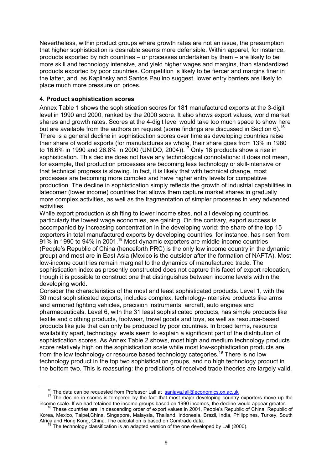Nevertheless, within product groups where growth rates are not an issue, the presumption that higher sophistication is desirable seems more defensible. Within apparel, for instance, products exported by rich countries – or processes undertaken by them – are likely to be more skill and technology intensive, and yield higher wages and margins, than standardized products exported by poor countries. Competition is likely to be fiercer and margins finer in the latter, and, as Kaplinsky and Santos Paulino suggest, lower entry barriers are likely to place much more pressure on prices.

#### **4. Product sophistication scores**

Annex Table 1 shows the sophistication scores for 181 manufactured exports at the 3-digit level in 1990 and 2000, ranked by the 2000 score. It also shows export values, world market shares and growth rates. Scores at the 4-digit level would take too much space to show here but are available from the authors on request (some findings are discussed in Section 6).<sup>16</sup> There is a general decline in sophistication scores over time as developing countries raise their share of world exports (for manufactures as whole, their share goes from 13% in 1980 to 16.6% in 1990 and 26.8% in 2000 (UNIDO, 2004)).<sup>17</sup> Only 18 products show a rise in sophistication. This decline does not have any technological connotations: it does not mean, for example, that production processes are becoming less technology or skill-intensive or that technical progress is slowing. In fact, it is likely that with technical change, most processes are becoming more complex and have higher entry levels for competitive production. The decline in sophistication simply reflects the growth of industrial capabilities in latecomer (lower income) countries that allows them capture market shares in gradually more complex activities, as well as the fragmentation of simpler processes in very advanced activities.

While export production *is* shifting to lower income sites, not all developing countries, particularly the lowest wage economies, are gaining. On the contrary, export success is accompanied by increasing concentration in the developing world: the share of the top 15 exporters in total manufactured exports by developing countries, for instance, has risen from 91% in 1990 to 94% in 2001.<sup>18</sup> Most dynamic exporters are middle-income countries (People's Republic of China (henceforth PRC) is the only low income country in the dynamic group) and most are in East Asia (Mexico is the outsider after the formation of NAFTA). Most low-income countries remain marginal to the dynamics of manufactured trade. The sophistication index as presently constructed does not capture this facet of export relocation, though it is possible to construct one that distinguishes between income levels within the developing world.

Consider the characteristics of the most and least sophisticated products. Level 1, with the 30 most sophisticated exports, includes complex, technology-intensive products like arms and armored fighting vehicles, precision instruments, aircraft, auto engines and pharmaceuticals. Level 6, with the 31 least sophisticated products, has simple products like textile and clothing products, footwear, travel goods and toys, as well as resource-based products like jute that can only be produced by poor countries. In broad terms, resource availability apart, technology levels seem to explain a significant part of the distribution of sophistication scores. As Annex Table 2 shows, most high and medium technology products score relatively high on the sophistication scale while most low-sophistication products are from the low technology or resource based technology categories.<sup>19</sup> There is no low technology product in the top two sophistication groups, and no high technology product in the bottom two. This is reassuring: the predictions of received trade theories are largely valid.

<sup>&</sup>lt;sup>16</sup> The data can be requested from Professor Lall at sanjaya.lall@economics.ox.ac.uk<br><sup>17</sup> The decline in scores is tempered by the fact that most major developing country exporters move up the income scale. If we had retained the income groups based on 1990 incomes, the decline would appear greater. <sup>18</sup> These countries are, in descending order of export values in 2001, People's Republic of China, Republic of

Korea, Mexico, Taipei,China, Singapore, Malaysia, Thailand, Indonesia, Brazil, India, Philippines, Turkey, South<br>Africa and Hong Kong, China. The calculation is based on Comtrade data.

 $9$  The technology classification is an adapted version of the one developed by Lall (2000).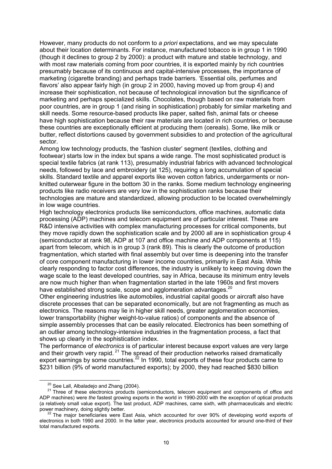However, many products do not conform to *a priori* expectations, and we may speculate about their location determinants. For instance, manufactured tobacco is in group 1 in 1990 (though it declines to group 2 by 2000): a product with mature and stable technology, and with most raw materials coming from poor countries, it is exported mainly by rich countries presumably because of its continuous and capital-intensive processes, the importance of marketing (cigarette branding) and perhaps trade barriers. 'Essential oils, perfumes and flavors' also appear fairly high (in group 2 in 2000, having moved up from group 4) and increase their sophistication, not because of technological innovation but the significance of marketing and perhaps specialized skills. Chocolates, though based on raw materials from poor countries, are in group 1 (and rising in sophistication) probably for similar marketing and skill needs. Some resource-based products like paper, salted fish, animal fats or cheese have high sophistication because their raw materials are located in rich countries, or because these countries are exceptionally efficient at producing them (cereals). Some, like milk or butter, reflect distortions caused by government subsidies to and protection of the agricultural sector.

Among low technology products, the 'fashion cluster' segment (textiles, clothing and footwear) starts low in the index but spans a wide range. The most sophisticated product is special textile fabrics (at rank 113), presumably industrial fabrics with advanced technological needs, followed by lace and embroidery (at 125), requiring a long accumulation of special skills. Standard textile and apparel exports like woven cotton fabrics, undergarments or nonknitted outerwear figure in the bottom 30 in the ranks. Some medium technology engineering products like radio receivers are very low in the sophistication ranks because their technologies are mature and standardized, allowing production to be located overwhelmingly in low wage countries.

High technology electronics products like semiconductors, office machines, automatic data processing (ADP) machines and telecom equipment are of particular interest. These are R&D intensive activities with complex manufacturing processes for critical components, but they move rapidly down the sophistication scale and by 2000 all are in sophistication group 4 (semiconductor at rank 98, ADP at 107 and office machine and ADP components at 115) apart from telecom, which is in group 3 (rank 89). This is clearly the outcome of production fragmentation, which started with final assembly but over time is deepening into the transfer of core component manufacturing in lower income countries, primarily in East Asia. While clearly responding to factor cost differences, the industry is unlikely to keep moving down the wage scale to the least developed countries, say in Africa, because its minimum entry levels are now much higher than when fragmentation started in the late 1960s and first movers have established strong scale, scope and agglomeration advantages.<sup>20</sup>

Other engineering industries like automobiles, industrial capital goods or aircraft also have discrete processes that can be separated economically, but are not fragmenting as much as electronics. The reasons may lie in higher skill needs, greater agglomeration economies, lower transportability (higher weight-to-value ratios) of components and the absence of simple assembly processes that can be easily relocated. Electronics has been something of an outlier among technology-intensive industries in the fragmentation process, a fact that shows up clearly in the sophistication index.

The performance of *electronics* is of particular interest because export values are very large and their growth very rapid.  $21$  The spread of their production networks raised dramatically export earnings by some countries.<sup>22</sup> In 1990, total exports of these four products came to \$231 billion (9% of world manufactured exports); by 2000, they had reached \$830 billion

<sup>&</sup>lt;sup>20</sup> See Lall, Albaladejo and Zhang (2004).<br><sup>21</sup> Three of these electronics products (semiconductors, telecom equipment and components of office and ADP machines) were *the* fastest growing exports in the world in 1990-2000 with the exception of optical products (a relatively small value export). The last product, ADP machines, came sixth, with pharmaceuticals and electric

<sup>&</sup>lt;sup>22</sup> The major beneficiaries were East Asia, which accounted for over 90% of developing world exports of electronics in both 1990 and 2000. In the latter year, electronics products accounted for around one-third of their total manufactured exports.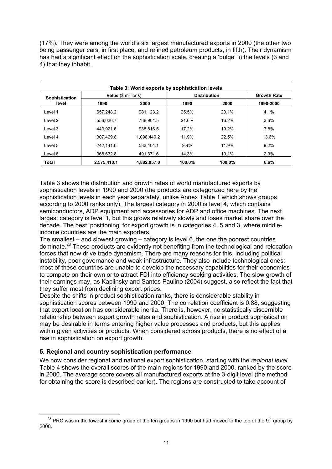(17%). They were among the world's six largest manufactured exports in 2000 (the other two being passenger cars, in first place, and refined petroleum products, in fifth). Their dynamism has had a significant effect on the sophistication scale, creating a 'bulge' in the levels (3 and 4) that they inhabit.

| Table 3: World exports by sophistication levels |                     |             |                     |        |                    |  |  |  |  |  |  |
|-------------------------------------------------|---------------------|-------------|---------------------|--------|--------------------|--|--|--|--|--|--|
| Sophistication                                  | Value (\$ millions) |             | <b>Distribution</b> |        | <b>Growth Rate</b> |  |  |  |  |  |  |
| level                                           | 1990                | 2000        | 1990                | 2000   | 1990-2000          |  |  |  |  |  |  |
| Level 1                                         | 657.248.2           | 981.123.2   | 25.5%               | 20.1%  | 4.1%               |  |  |  |  |  |  |
| Level 2                                         | 556.036.7           | 788.901.5   | 21.6%               | 16.2%  | 3.6%               |  |  |  |  |  |  |
| Level 3                                         | 443.921.6           | 938.816.5   | 17.2%               | 19.2%  | 7.8%               |  |  |  |  |  |  |
| Level 4                                         | 307.429.8           | 1.098.440.2 | 11.9%               | 22.5%  | 13.6%              |  |  |  |  |  |  |
| Level 5                                         | 242.141.0           | 583.404.1   | $9.4\%$             | 11.9%  | 9.2%               |  |  |  |  |  |  |
| Level 6                                         | 368.632.8           | 491.371.6   | 14.3%               | 10.1%  | 2.9%               |  |  |  |  |  |  |
| Total                                           | 2.575.410.1         | 4.882.057.0 | $100.0\%$           | 100.0% | 6.6%               |  |  |  |  |  |  |

Table 3 shows the distribution and growth rates of world manufactured exports by sophistication levels in 1990 and 2000 (the products are categorized here by the sophistication levels in each year separately, unlike Annex Table 1 which shows groups according to 2000 ranks only). The largest category in 2000 is level 4, which contains semiconductors, ADP equipment and accessories for ADP and office machines. The next largest category is level 1, but this grows relatively slowly and loses market share over the decade. The best 'positioning' for export growth is in categories 4, 5 and 3, where middleincome countries are the main exporters.

The smallest – and slowest growing – category is level 6, the one the poorest countries dominate.23 These products are evidently not benefiting from the technological and relocation forces that now drive trade dynamism. There are many reasons for this, including political instability, poor governance and weak infrastructure. They also include technological ones: most of these countries are unable to develop the necessary capabilities for their economies to compete on their own or to attract FDI into efficiency seeking activities. The slow growth of their earnings may, as Kaplinsky and Santos Paulino (2004) suggest, also reflect the fact that they suffer most from declining export prices.

Despite the shifts in product sophistication ranks, there is considerable stability in sophistication scores between 1990 and 2000. The correlation coefficient is 0.88, suggesting that export location has considerable inertia. There is, however, no statistically discernible relationship between export growth rates and sophistication. A rise in product sophistication may be desirable in terms entering higher value processes and products, but this applies within given activities or products. When considered across products, there is no effect of a rise in sophistication on export growth.

## **5. Regional and country sophistication performance**

We now consider regional and national export sophistication, starting with the *regional level.* Table 4 shows the overall scores of the main regions for 1990 and 2000, ranked by the score in 2000. The average score covers all manufactured exports at the 3-digit level (the method for obtaining the score is described earlier). The regions are constructed to take account of

 $^{23}$  PRC was in the lowest income group of the ten groups in 1990 but had moved to the top of the 9<sup>th</sup> group by 2000.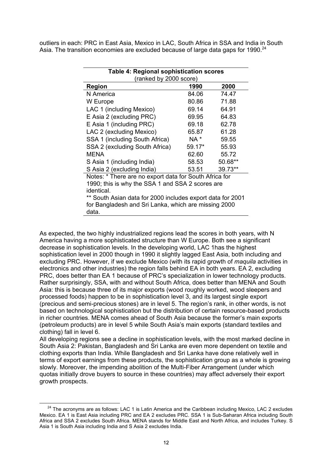outliers in each: PRC in East Asia, Mexico in LAC, South Africa in SSA and India in South Asia. The transition economies are excluded because of large data gaps for 1990.<sup>24</sup>

| Table 4: Regional sophistication scores                |                                                            |         |  |  |  |  |  |  |  |
|--------------------------------------------------------|------------------------------------------------------------|---------|--|--|--|--|--|--|--|
| (ranked by 2000 score)                                 |                                                            |         |  |  |  |  |  |  |  |
| Region                                                 | 1990                                                       | 2000    |  |  |  |  |  |  |  |
| N America                                              | 84.06                                                      | 74.47   |  |  |  |  |  |  |  |
| W Europe                                               | 80.86                                                      | 71.88   |  |  |  |  |  |  |  |
| LAC 1 (including Mexico)                               | 69.14                                                      | 64.91   |  |  |  |  |  |  |  |
| E Asia 2 (excluding PRC)                               | 69.95                                                      | 64.83   |  |  |  |  |  |  |  |
| E Asia 1 (including PRC)                               | 69.18                                                      | 62.78   |  |  |  |  |  |  |  |
| LAC 2 (excluding Mexico)                               | 65.87                                                      | 61.28   |  |  |  |  |  |  |  |
| SSA 1 (including South Africa)                         | NA *                                                       | 59.55   |  |  |  |  |  |  |  |
| SSA 2 (excluding South Africa)                         | $59.17*$                                                   | 55.93   |  |  |  |  |  |  |  |
| MENA                                                   | 62.60                                                      | 55.72   |  |  |  |  |  |  |  |
| S Asia 1 (including India)                             | 58.53                                                      | 50.68** |  |  |  |  |  |  |  |
| S Asia 2 (excluding India)                             | 53.51                                                      | 39.73** |  |  |  |  |  |  |  |
| Notes: * There are no export data for South Africa for |                                                            |         |  |  |  |  |  |  |  |
| 1990; this is why the SSA 1 and SSA 2 scores are       |                                                            |         |  |  |  |  |  |  |  |
| identical.                                             |                                                            |         |  |  |  |  |  |  |  |
|                                                        | ** South Asian data for 2000 includes export data for 2001 |         |  |  |  |  |  |  |  |
| for Bangladesh and Sri Lanka, which are missing 2000   |                                                            |         |  |  |  |  |  |  |  |
| data.                                                  |                                                            |         |  |  |  |  |  |  |  |

As expected, the two highly industrialized regions lead the scores in both years, with N America having a more sophisticated structure than W Europe. Both see a significant decrease in sophistication levels. In the developing world, LAC 1has the highest sophistication level in 2000 though in 1990 it slightly lagged East Asia, both including and excluding PRC. However, if we exclude Mexico (with its rapid growth of *maquila* activities in electronics and other industries) the region falls behind EA in both years. EA 2, excluding PRC, does better than EA 1 because of PRC's specialization in lower technology products. Rather surprisingly, SSA, with and without South Africa, does better than MENA and South Asia: this is because three of its major exports (wood roughly worked, wood sleepers and processed foods) happen to be in sophistication level 3, and its largest single export (precious and semi-precious stones) are in level 5. The region's rank, in other words, is not based on technological sophistication but the distribution of certain resource-based products in richer countries. MENA comes ahead of South Asia because the former's main exports (petroleum products) are in level 5 while South Asia's main exports (standard textiles and clothing) fall in level 6.

All developing regions see a decline in sophistication levels, with the most marked decline in South Asia 2: Pakistan, Bangladesh and Sri Lanka are even more dependent on textile and clothing exports than India. While Bangladesh and Sri Lanka have done relatively well in terms of export earnings from these products, the sophistication group as a whole is growing slowly. Moreover, the impending abolition of the Multi-Fiber Arrangement (under which quotas initially drove buyers to source in these countries) may affect adversely their export growth prospects.

 $24$  The acronyms are as follows: LAC 1 is Latin America and the Caribbean including Mexico, LAC 2 excludes Mexico. EA 1 is East Asia including PRC and EA 2 excludes PRC. SSA 1 is Sub-Saharan Africa including South Africa and SSA 2 excludes South Africa. MENA stands for Middle East and North Africa, and includes Turkey. S Asia 1 is South Asia including India and S Asia 2 excludes India.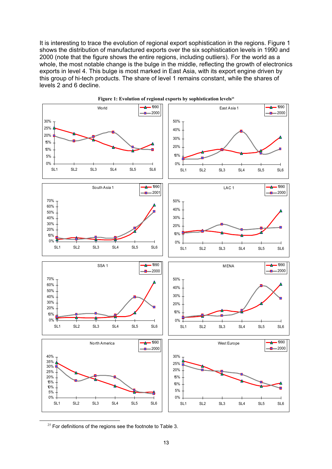It is interesting to trace the evolution of regional export sophistication in the regions. Figure 1 shows the distribution of manufactured exports over the six sophistication levels in 1990 and 2000 (note that the figure shows the entire regions, including outliers). For the world as a whole, the most notable change is the bulge in the middle, reflecting the growth of electronics exports in level 4. This bulge is most marked in East Asia, with its export engine driven by this group of hi-tech products. The share of level 1 remains constant, while the shares of levels 2 and 6 decline.



Figure 1: Evolution of regional exports by sophistication levels<sup>25</sup>

 $25$  For definitions of the regions see the footnote to Table 3.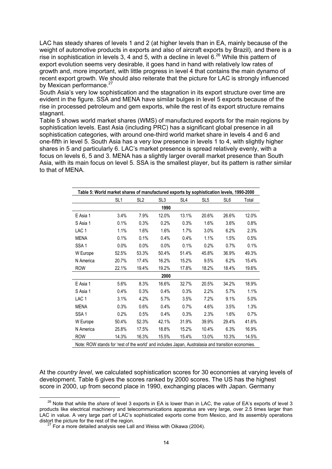LAC has steady shares of levels 1 and 2 (at higher levels than in EA, mainly because of the weight of automotive products in exports and also of aircraft exports by Brazil), and there is a rise in sophistication in levels 3, 4 and 5, with a decline in level  $6<sup>26</sup>$  While this pattern of export evolution seems very desirable, it goes hand in hand with relatively low rates of growth and, more important, with little progress in level 4 that contains the main dynamo of recent export growth. We should also reiterate that the picture for LAC is strongly influenced by Mexican performance.<sup>27</sup>

South Asia's very low sophistication and the stagnation in its export structure over time are evident in the figure. SSA and MENA have similar bulges in level 5 exports because of the rise in processed petroleum and gem exports, while the rest of its export structure remains stagnant.

Table 5 shows world market shares (WMS) of manufactured exports for the main regions by sophistication levels. East Asia (including PRC) has a significant global presence in all sophistication categories, with around one-third world market share in levels 4 and 6 and one-fifth in level 5. South Asia has a very low presence in levels 1 to 4, with slightly higher shares in 5 and particularly 6. LAC's market presence is spread relatively evenly, with a focus on levels 6, 5 and 3. MENA has a slightly larger overall market presence than South Asia, with its main focus on level 5. SSA is the smallest player, but its pattern is rather similar to that of MENA.

|                  | SL <sub>1</sub> | SL <sub>2</sub> | SL <sub>3</sub> | SL4   | SL <sub>5</sub> | SL <sub>6</sub> | Total |  |  |  |  |
|------------------|-----------------|-----------------|-----------------|-------|-----------------|-----------------|-------|--|--|--|--|
| 1990             |                 |                 |                 |       |                 |                 |       |  |  |  |  |
| E Asia 1         | 3.4%            | 7.9%            | 12.0%           | 13.1% | 20.6%           | 26.6%           | 12.0% |  |  |  |  |
| S Asia 1         | 0.1%            | 0.3%            | 0.2%            | 0.3%  | 1.6%            | 3.6%            | 0.8%  |  |  |  |  |
| LAC <sub>1</sub> | 1.1%            | 1.6%            | 1.6%            | 1.7%  | 3.0%            | 6.2%            | 2.3%  |  |  |  |  |
| <b>MENA</b>      | 0.1%            | 0.1%            | 0.4%            | 0.4%  | 1.1%            | 1.5%            | 0.5%  |  |  |  |  |
| SSA <sub>1</sub> | 0.0%            | $0.0\%$         | 0.0%            | 0.1%  | 0.2%            | 0.7%            | 0.1%  |  |  |  |  |
| W Europe         | 52.5%           | 53.3%           | 50.4%           | 51.4% | 45.8%           | 36.9%           | 49.3% |  |  |  |  |
| N America        | 20.7%           | 17.4%           | 16.2%           | 15.2% | 9.5%            | 6.2%            | 15.4% |  |  |  |  |
| <b>ROW</b>       | 22.1%           | 19.4%           | 19.2%           | 17.8% | 18.2%           | 18.4%           | 19.6% |  |  |  |  |
|                  |                 |                 | 2000            |       |                 |                 |       |  |  |  |  |
| E Asia 1         | 5.6%            | 8.3%            | 16.6%           | 32.7% | 20.5%           | 34.2%           | 18.9% |  |  |  |  |
| S Asia 1         | 0.4%            | 0.3%            | 0.4%            | 0.3%  | 2.2%            | 5.7%            | 1.1%  |  |  |  |  |
| LAC <sub>1</sub> | 3.1%            | 4.2%            | 5.7%            | 3.5%  | 7.2%            | 9.1%            | 5.0%  |  |  |  |  |
| <b>MENA</b>      | 0.3%            | $0.6\%$         | 0.4%            | 0.7%  | 4.6%            | 3.5%            | 1.3%  |  |  |  |  |
| SSA <sub>1</sub> | 0.2%            | 0.5%            | 0.4%            | 0.3%  | 2.3%            | 1.6%            | 0.7%  |  |  |  |  |
| W Europe         | 50.4%           | 52.3%           | 42.1%           | 31.9% | 39.9%           | 29.4%           | 41.6% |  |  |  |  |
| N America        | 25.8%           | 17.5%           | 18.8%           | 15.2% | 10.4%           | 6.3%            | 16.9% |  |  |  |  |
| <b>ROW</b>       | 14.3%           | 16.3%           | 15.5%           | 15.4% | 13.0%           | 10.3%           | 14.5% |  |  |  |  |

At the *country level*, we calculated sophistication scores for 30 economies at varying levels of development. Table 6 gives the scores ranked by 2000 scores. The US has the highest score in 2000, up from second place in 1990, exchanging places with Japan. Germany

26 Note that while the *share* of level 3 exports in EA is lower than in LAC, the *value* of EA's exports of level 3 products like electrical machinery and telecommunications apparatus are very large, over 2.5 times larger than LAC in value. A very large part of LAC's sophisticated exports come from Mexico, and its assembly operations distort the picture for the rest of the region.

 $27$  For a more detailed analysis see Lall and Weiss with Oikawa (2004).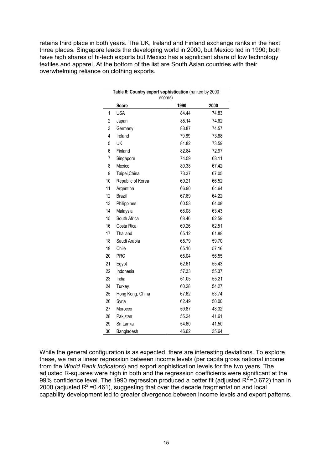retains third place in both years. The UK, Ireland and Finland exchange ranks in the next three places. Singapore leads the developing world in 2000, but Mexico led in 1990; both have high shares of hi-tech exports but Mexico has a significant share of low technology textiles and apparel. At the bottom of the list are South Asian countries with their overwhelming reliance on clothing exports.

|    | Table 6: Country export sophistication (ranked by 2000<br>scores) |       |       |  |  |  |  |  |  |
|----|-------------------------------------------------------------------|-------|-------|--|--|--|--|--|--|
|    | Score                                                             | 1990  | 2000  |  |  |  |  |  |  |
| 1  | <b>USA</b>                                                        | 84.44 | 74.83 |  |  |  |  |  |  |
| 2  | Japan                                                             | 85.14 | 74.62 |  |  |  |  |  |  |
| 3  | Germany                                                           | 83.87 | 74.57 |  |  |  |  |  |  |
| 4  | Ireland                                                           | 79.89 | 73.88 |  |  |  |  |  |  |
| 5  | UK                                                                | 81.82 | 73.59 |  |  |  |  |  |  |
| 6  | Finland                                                           | 82.84 | 72.97 |  |  |  |  |  |  |
| 7  | Singapore                                                         | 74.59 | 68.11 |  |  |  |  |  |  |
| 8  | Mexico                                                            | 80.38 | 67.42 |  |  |  |  |  |  |
| 9  | Taipei, China                                                     | 73.37 | 67.05 |  |  |  |  |  |  |
| 10 | Republic of Korea                                                 | 69.21 | 66.52 |  |  |  |  |  |  |
| 11 | Argentina                                                         | 66.90 | 64.64 |  |  |  |  |  |  |
| 12 | Brazil                                                            | 67.69 | 64.22 |  |  |  |  |  |  |
| 13 | Philippines                                                       | 60.53 | 64.08 |  |  |  |  |  |  |
| 14 | Malaysia                                                          | 68.08 | 63.43 |  |  |  |  |  |  |
| 15 | South Africa                                                      | 68.46 | 62.59 |  |  |  |  |  |  |
| 16 | Costa Rica                                                        | 69.26 | 62.51 |  |  |  |  |  |  |
| 17 | Thailand                                                          | 65.12 | 61.88 |  |  |  |  |  |  |
| 18 | Saudi Arabia                                                      | 65.79 | 59.70 |  |  |  |  |  |  |
| 19 | Chile                                                             | 65.16 | 57.16 |  |  |  |  |  |  |
| 20 | <b>PRC</b>                                                        | 65.04 | 56.55 |  |  |  |  |  |  |
| 21 | Egypt                                                             | 62.61 | 55.43 |  |  |  |  |  |  |
| 22 | Indonesia                                                         | 57.33 | 55.37 |  |  |  |  |  |  |
| 23 | India                                                             | 61.05 | 55.21 |  |  |  |  |  |  |
| 24 | Turkey                                                            | 60.28 | 54.27 |  |  |  |  |  |  |
| 25 | Hong Kong, China                                                  | 67.62 | 53.74 |  |  |  |  |  |  |
| 26 | Syria                                                             | 62.49 | 50.00 |  |  |  |  |  |  |
| 27 | Morocco                                                           | 59.87 | 48.32 |  |  |  |  |  |  |
| 28 | Pakistan                                                          | 55.24 | 41.61 |  |  |  |  |  |  |
| 29 | Sri Lanka                                                         | 54.60 | 41.50 |  |  |  |  |  |  |
| 30 | Bangladesh                                                        | 46.62 | 35.64 |  |  |  |  |  |  |

While the general configuration is as expected, there are interesting deviations. To explore these, we ran a linear regression between income levels (per capita gross national income from the *World Bank Indicators*) and export sophistication levels for the two years. The adjusted R-squares were high in both and the regression coefficients were significant at the 99% confidence level. The 1990 regression produced a better fit (adjusted  $R^2$ =0.672) than in 2000 (adjusted  $R^2$ =0.461), suggesting that over the decade fragmentation and local capability development led to greater divergence between income levels and export patterns.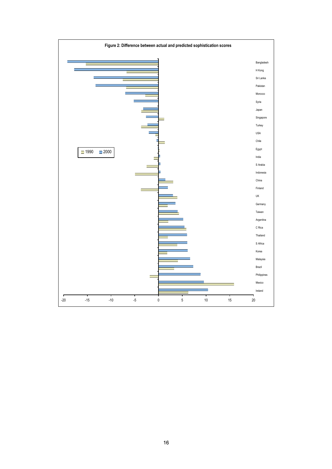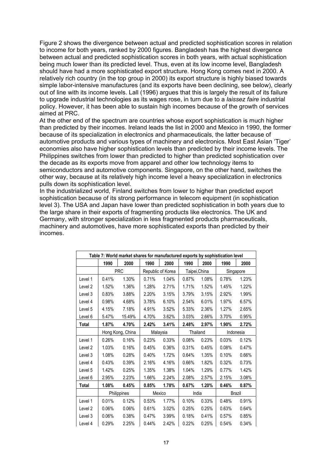Figure 2 shows the divergence between actual and predicted sophistication scores in relation to income for both years, ranked by 2000 figures. Bangladesh has the highest divergence between actual and predicted sophistication scores in both years, with actual sophistication being much lower than its predicted level. Thus, even at its low income level, Bangladesh should have had a more sophisticated export structure. Hong Kong comes next in 2000. A relatively rich country (in the top group in 2000) its export structure is highly biased towards simple labor-intensive manufactures (and its exports have been declining, see below), clearly out of line with its income levels. Lall (1996) argues that this is largely the result of its failure to upgrade industrial technologies as its wages rose, in turn due to a *laissez faire* industrial policy. However, it has been able to sustain high incomes because of the growth of services aimed at PRC.

At the other end of the spectrum are countries whose export sophistication is much higher than predicted by their incomes. Ireland leads the list in 2000 and Mexico in 1990, the former because of its specialization in electronics and pharmaceuticals, the latter because of automotive products and various types of machinery and electronics. Most East Asian 'Tiger' economies also have higher sophistication levels than predicted by their income levels. The Philippines switches from lower than predicted to higher than predicted sophistication over the decade as its exports move from apparel and other low technology items to semiconductors and automotive components. Singapore, on the other hand, switches the other way, because at its relatively high income level a heavy specialization in electronics pulls down its sophistication level.

In the industrialized world, Finland switches from lower to higher than predicted export sophistication because of its strong performance in telecom equipment (in sophistication level 3). The USA and Japan have lower than predicted sophistication in both years due to the large share in their exports of fragmenting products like electronics. The UK and Germany, with stronger specialization in less fragmented products pharmaceuticals, machinery and automotives, have more sophisticated exports than predicted by their incomes.

|         | Table 7: World market shares for manufactured exports by sophistication level |                  |        |                   |               |       |       |           |  |  |
|---------|-------------------------------------------------------------------------------|------------------|--------|-------------------|---------------|-------|-------|-----------|--|--|
|         | 1990                                                                          | 2000             | 1990   | 2000              | 1990          | 2000  | 1990  | 2000      |  |  |
|         |                                                                               | <b>PRC</b>       |        | Republic of Korea | Taipei, China |       |       | Singapore |  |  |
| Level 1 | 0.41%                                                                         | 1.30%            | 0.71%  | 1.04%             | 0.87%         | 1.08% | 0.78% | 1.23%     |  |  |
| Level 2 | 1.52%                                                                         | 1.36%            | 1.28%  | 2.71%             | 1.71%         | 1.52% | 1.45% | 1.22%     |  |  |
| Level 3 | 0.83%                                                                         | 3.88%            | 2.20%  | 3.15%             | 3.79%         | 3.15% | 2.92% | 1.99%     |  |  |
| Level 4 | 0.98%                                                                         | 4.68%            | 3.78%  | 6.10%             | 2.54%         | 6.01% | 1.97% | 6.57%     |  |  |
| Level 5 | 4.15%                                                                         | 7.18%            | 4.91%  | 3.52%             | 5.33%         | 2.36% | 1.27% | 2.65%     |  |  |
| Level 6 | 5.47%                                                                         | 15.49%           | 4.70%  | 3.62%             | 3.03%         | 2.66% | 3.70% | 0.95%     |  |  |
| Total   | 1.87%                                                                         | 4.70%            | 2.42%  | 3.41%             | 2.48%         | 2.97% | 1.90% | 2.72%     |  |  |
|         |                                                                               | Hong Kong, China |        | Malaysia          | Thailand      |       |       | Indonesia |  |  |
| Level 1 | 0.26%                                                                         | 0.16%            | 0.23%  | 0.33%             | 0.08%         | 0.23% | 0.03% | 0.12%     |  |  |
| Level 2 | 1.03%                                                                         | 0.16%            | 0.45%  | 0.36%             | 0.31%         | 0.45% | 0.08% | 0.47%     |  |  |
| Level 3 | 1.08%                                                                         | 0.28%            | 0.40%  | 1.72%             | 0.64%         | 1.35% | 0.10% | 0.66%     |  |  |
| Level 4 | 0.43%                                                                         | 0.39%            | 2.16%  | 4.16%             | 0.66%         | 1.82% | 0.32% | 0.73%     |  |  |
| Level 5 | 1.42%                                                                         | 0.25%            | 1.35%  | 1.38%             | 1.04%         | 1.29% | 0.77% | 1.42%     |  |  |
| Level 6 | 2.95%                                                                         | 2.23%            | 1.66%  | 2.24%             | 2.08%         | 2.57% | 2.15% | 3.08%     |  |  |
| Total   | 1.08%                                                                         | 0.45%            | 0.85%  | 1.78%             | 0.67%         | 1.20% | 0.46% | 0.87%     |  |  |
|         |                                                                               | Philippines      | Mexico |                   | India         |       |       | Brazil    |  |  |
| Level 1 | 0.01%                                                                         | 0.12%            | 0.53%  | 1.77%             | 0.10%         | 0.33% | 0.48% | 0.91%     |  |  |
| Level 2 | 0.06%                                                                         | 0.06%            | 0.61%  | 3.02%             | 0.25%         | 0.25% | 0.63% | 0.64%     |  |  |
| Level 3 | $0.06\%$                                                                      | 0.38%            | 0.47%  | 3.99%             | 0.18%         | 0.41% | 0.57% | 0.85%     |  |  |
| Level 4 | 0.29%                                                                         | 2.25%            | 0.44%  | 2.42%             | 0.22%         | 0.25% | 0.54% | 0.34%     |  |  |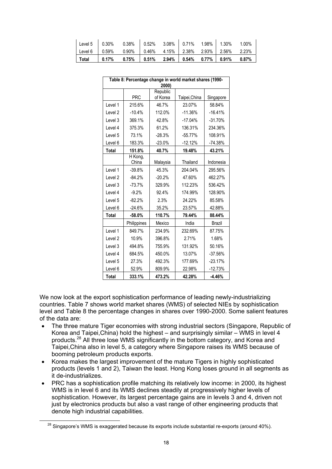| Level 5   0.30% 0.38%   0.52% 3.08%   0.71% 1.98%   1.30% 1.00%     |  |  |  |  |
|---------------------------------------------------------------------|--|--|--|--|
| Level 6 0.59% 0.90% 0.46% 4.15% 2.38% 2.93% 2.56% 2.23%             |  |  |  |  |
| │ Total │ 0.17%  0.75% │ 0.51%  2.94% │ 0.54%  0.77% │ 0.91%  0.87% |  |  |  |  |

|                    | Table 8: Percentage change in world market shares (1990-<br>2000) |          |               |           |  |  |  |  |  |
|--------------------|-------------------------------------------------------------------|----------|---------------|-----------|--|--|--|--|--|
|                    |                                                                   | Republic |               |           |  |  |  |  |  |
|                    | <b>PRC</b>                                                        | of Korea | Taipei, China | Singapore |  |  |  |  |  |
| Level 1            | 215.6%                                                            | 46.7%    | 23.07%        | 58.84%    |  |  |  |  |  |
| Level 2            | $-10.4%$                                                          | 112.0%   | $-11.36%$     | $-16.41%$ |  |  |  |  |  |
| Level 3            | 369.1%                                                            | 42.8%    | $-17.04%$     | $-31.70%$ |  |  |  |  |  |
| Level 4            | 375.3%                                                            | 61.2%    | 136.31%       | 234.36%   |  |  |  |  |  |
| Level 5            | 73.1%                                                             | $-28.3%$ | $-55.77%$     | 108.91%   |  |  |  |  |  |
| Level 6            | 183.3%                                                            | $-23.0%$ | $-12.12%$     | $-74.38%$ |  |  |  |  |  |
| <b>Total</b>       | 151.8%                                                            | 40.7%    | 19.48%        | 43.21%    |  |  |  |  |  |
|                    | $\overline{H}$ Kong,<br>China                                     | Malaysia | Thailand      | Indonesia |  |  |  |  |  |
| Level 1            | $-39.8%$                                                          | 45.3%    | 204.04%       | 295.56%   |  |  |  |  |  |
| Level 2            | $-84.2%$                                                          | $-20.2%$ | 47.60%        | 462.27%   |  |  |  |  |  |
| Level 3            | $-73.7%$                                                          | 329.9%   | 112.23%       | 536.42%   |  |  |  |  |  |
| Level 4            | $-9.2%$                                                           | 92.4%    | 174.99%       | 128.90%   |  |  |  |  |  |
| Level 5            | $-82.2%$                                                          | 2.3%     | 24.22%        | 85.58%    |  |  |  |  |  |
| Level 6            | $-24.6%$                                                          | 35.2%    | 23.57%        | 42.88%    |  |  |  |  |  |
| Total              | -58.0%                                                            | 110.7%   | 79.44%        | 88.44%    |  |  |  |  |  |
|                    | Philippines                                                       | Mexico   | India         | Brazil    |  |  |  |  |  |
| Level 1            | 849.7%                                                            | 234.9%   | 232.69%       | 87.75%    |  |  |  |  |  |
| Level <sub>2</sub> | 10.9%                                                             | 396.8%   | 2.71%         | 1.68%     |  |  |  |  |  |
| Level 3            | 494.8%                                                            | 755.9%   | 131.92%       | 50.16%    |  |  |  |  |  |
| Level 4            | 684.5%                                                            | 450.0%   | 13.07%        | $-37.56%$ |  |  |  |  |  |
| Level 5            | 27.3%                                                             | 492.3%   | 177.69%       | $-23.17%$ |  |  |  |  |  |
| Level 6            | 52.9%                                                             | 809.9%   | 22.98%        | $-12.73%$ |  |  |  |  |  |
| <b>Total</b>       | 333.1%                                                            | 473.2%   | 42.28%        | $-4.46%$  |  |  |  |  |  |

We now look at the export sophistication performance of leading newly-industrializing countries. Table 7 shows world market shares (WMS) of selected NIEs by sophistication level and Table 8 the percentage changes in shares over 1990-2000. Some salient features of the data are:

- The three mature Tiger economies with strong industrial sectors (Singapore, Republic of Korea and Taipei,China) hold the highest – and surprisingly similar – WMS in level 4 products.28 All three lose WMS significantly in the bottom category, and Korea and Taipei,China also in level 5, a category where Singapore raises its WMS because of booming petroleum products exports.
- Korea makes the largest improvement of the mature Tigers in highly sophisticated products (levels 1 and 2), Taiwan the least. Hong Kong loses ground in all segments as it de-industrializes.
- PRC has a sophistication profile matching its relatively low income: in 2000, its highest WMS is in level 6 and its WMS declines steadily at progressively higher levels of sophistication. However, its largest percentage gains are in levels 3 and 4, driven not just by electronics products but also a vast range of other engineering products that denote high industrial capabilities.

 $28$  Singapore's WMS is exaggerated because its exports include substantial re-exports (around 40%).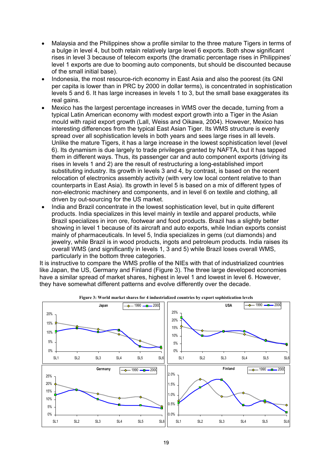- Malaysia and the Philippines show a profile similar to the three mature Tigers in terms of a bulge in level 4, but both retain relatively large level 6 exports. Both show significant rises in level 3 because of telecom exports (the dramatic percentage rises in Philippines' level 1 exports are due to booming auto components, but should be discounted because of the small initial base).
- Indonesia, the most resource-rich economy in East Asia and also the poorest (its GNI per capita is lower than in PRC by 2000 in dollar terms), is concentrated in sophistication levels 5 and 6. It has large increases in levels 1 to 3, but the small base exaggerates its real gains.
- Mexico has the largest percentage increases in WMS over the decade, turning from a typical Latin American economy with modest export growth into a Tiger in the Asian mould with rapid export growth (Lall, Weiss and Oikawa, 2004). However, Mexico has interesting differences from the typical East Asian Tiger. Its WMS structure is evenly spread over all sophistication levels in both years and sees large rises in all levels. Unlike the mature Tigers, it has a large increase in the lowest sophistication level (level 6). Its dynamism is due largely to trade privileges granted by NAFTA, but it has tapped them in different ways. Thus, its passenger car and auto component exports (driving its rises in levels 1 and 2) are the result of restructuring a long-established import substituting industry. Its growth in levels 3 and 4, by contrast, is based on the recent relocation of electronics assembly activity (with very low local content relative to than counterparts in East Asia). Its growth in level 5 is based on a mix of different types of non-electronic machinery and components, and in level 6 on textile and clothing, all driven by out-sourcing for the US market.
- India and Brazil concentrate in the lowest sophistication level, but in quite different products. India specializes in this level mainly in textile and apparel products, while Brazil specializes in iron ore, footwear and food products. Brazil has a slightly better showing in level 1 because of its aircraft and auto exports, while Indian exports consist mainly of pharmaceuticals. In level 5, India specializes in gems (cut diamonds) and jewelry, while Brazil is in wood products, ingots and petroleum products. India raises its overall WMS (and significantly in levels 1, 3 and 5) while Brazil loses overall WMS, particularly in the bottom three categories.

It is instructive to compare the WMS profile of the NIEs with that of industrialized countries like Japan, the US, Germany and Finland (Figure 3). The three large developed economies have a similar spread of market shares, highest in level 1 and lowest in level 6. However, they have somewhat different patterns and evolve differently over the decade.



**Figure 3: World market shares for 4 industrialized countries by export sophistication levels**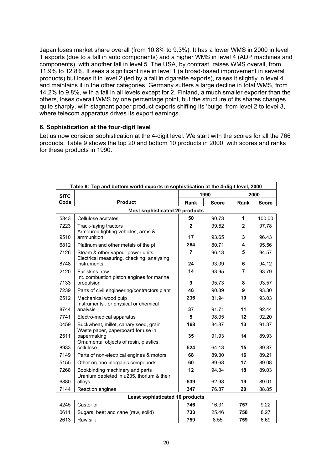Japan loses market share overall (from 10.8% to 9.3%). It has a lower WMS in 2000 in level 1 exports (due to a fall in auto components) and a higher WMS in level 4 (ADP machines and components), with another fall in level 5. The USA, by contrast, raises WMS overall, from 11.9% to 12.8%. It sees a significant rise in level 1 (a broad-based improvement in several products) but loses it in level 2 (led by a fall in cigarette exports), raises it slightly in level 4 and maintains it in the other categories. Germany suffers a large decline in total WMS, from 14.2% to 9.8%, with a fall in all levels except for 2. Finland, a much smaller exporter than the others, loses overall WMS by one percentage point, but the structure of its shares changes quite sharply, with stagnant paper product exports shifting its 'bulge' from level 2 to level 3, where telecom apparatus drives its export earnings.

#### **6. Sophistication at the four-digit level**

Let us now consider sophistication at the 4-digit level. We start with the scores for all the 766 products. Table 9 shows the top 20 and bottom 10 products in 2000, with scores and ranks for these products in 1990.

|             | Table 9: Top and bottom world exports in sophistication at the 4-digit level, 2000 |              |              |                |              |  |  |  |
|-------------|------------------------------------------------------------------------------------|--------------|--------------|----------------|--------------|--|--|--|
| <b>SITC</b> |                                                                                    | 1990         |              | 2000           |              |  |  |  |
| Code        | <b>Product</b>                                                                     | Rank         | <b>Score</b> | Rank           | <b>Score</b> |  |  |  |
|             | <b>Most sophisticated 20 products</b>                                              |              |              |                |              |  |  |  |
| 5843        | Cellulose acetates                                                                 | 50           | 90.73        | 1              | 100.00       |  |  |  |
| 7223        | Track-laying tractors<br>Armoured fighting vehicles, arms &                        | $\mathbf{2}$ | 99.52        | $\overline{2}$ | 97.78        |  |  |  |
| 9510        | ammunition                                                                         | 17           | 93.65        | 3              | 96.43        |  |  |  |
| 6812        | Platinum and other metals of the pl                                                | 264          | 80.71        | 4              | 95.56        |  |  |  |
| 7126        | Steam & other vapour power units<br>Electrical measuring, checking, analysing      | 7            | 96.13        | 5              | 94.57        |  |  |  |
| 8748        | instruments                                                                        | 24           | 93.09        | 6              | 94.12        |  |  |  |
| 2120        | Fur-skins, raw<br>Int. combustion piston engines for marine                        | 14           | 93.95        | 7              | 93.79        |  |  |  |
| 7133        | propulsion                                                                         | 9            | 95.73        | 8              | 93.57        |  |  |  |
| 7239        | Parts of civil engineering/contractors plant                                       | 46           | 90.89        | 9              | 93.30        |  |  |  |
| 2512        | Mechanical wood pulp<br>Instruments .for physical or chemical                      | 236          | 81.94        | 10             | 93.03        |  |  |  |
| 8744        | analysis                                                                           | 37           | 91.71        | 11             | 92.44        |  |  |  |
| 7741        | Electro-medical apparatus                                                          | 5            | 98.05        | 12             | 92.20        |  |  |  |
| 0459        | Buckwheat, millet, canary seed, grain<br>Waste paper, paperboard for use in        | 168          | 84.87        | 13             | 91.37        |  |  |  |
| 2511        | papermaking<br>Ornamental objects of resin, plastics,                              | 35           | 91.93        | 14             | 89.93        |  |  |  |
| 8933        | cellulose                                                                          | 524          | 64.13        | 15             | 89.87        |  |  |  |
| 7149        | Parts of non-electrical engines & motors                                           | 68           | 89.30        | 16             | 89.21        |  |  |  |
| 5155        | Other organo-inorganic compounds                                                   | 60           | 89.68        | 17             | 89.08        |  |  |  |
| 7268        | Bookbinding machinery and parts<br>Uranium depleted in u235, thorium & their       | 12           | 94.34        | 18             | 89.03        |  |  |  |
| 6880        | alloys                                                                             | 539          | 62.98        | 19             | 89.01        |  |  |  |
| 7144        | Reaction engines                                                                   | 347          | 76.87        | 20             | 88.85        |  |  |  |
|             | <b>Least sophisticated 10 products</b>                                             |              |              |                |              |  |  |  |
| 4245        | Castor oil                                                                         | 746          | 16.31        | 757            | 9.22         |  |  |  |
| 0611        | Sugars, beet and cane (raw, solid)                                                 | 733          | 25.46        | 758            | 8.27         |  |  |  |
| 2613        | Raw silk                                                                           | 759          | 8.55         | 759            | 6.69         |  |  |  |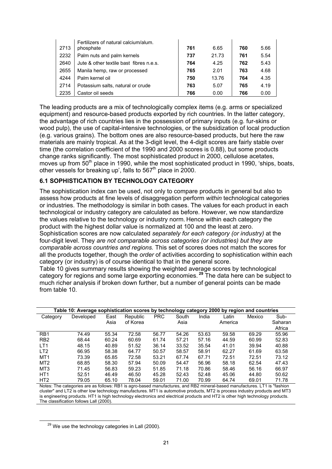| 2713 | Fertilizers of natural calcium/alum.<br>phosphate | 761 | 6.65  | 760 | 5.66 |
|------|---------------------------------------------------|-----|-------|-----|------|
| 2232 | Palm nuts and palm kernels                        | 737 | 21.73 | 761 | 5.54 |
| 2640 | Jute & other textile bast fibres n.e.s.           | 764 | 4.25  | 762 | 5.43 |
| 2655 | Manila hemp, raw or processed                     | 765 | 2.01  | 763 | 4.68 |
| 4244 | Palm kernel oil                                   | 750 | 13.76 | 764 | 4.35 |
| 2714 | Potassium salts, natural or crude                 | 763 | 5.07  | 765 | 4.19 |
| 2235 | Castor oil seeds                                  | 766 | 0.00  | 766 | 0.00 |

The leading products are a mix of technologically complex items (e.g. arms or specialized equipment) and resource-based products exported by rich countries. In the latter category, the advantage of rich countries lies in the possession of primary inputs (e.g. fur-skins or wood pulp), the use of capital-intensive technologies, or the subsidization of local production (e.g. various grains). The bottom ones are also resource-based products, but here the raw materials are mainly tropical. As at the 3-digit level, the 4-digit scores are fairly stable over time (the correlation coefficient of the 1990 and 2000 scores is 0.88), but some products change ranks significantly. The most sophisticated product in 2000, cellulose acetates, moves up from  $50<sup>th</sup>$  place in 1990, while the most sophisticated product in 1990, 'ships, boats, other vessels for breaking up', falls to  $567<sup>th</sup>$  place in 2000.

#### **6.1 SOPHISTICATION BY TECHNOLOGY CATEGORY**

The sophistication index can be used, not only to compare products in general but also to assess how products at fine levels of disaggregation perform *within* technological categories or industries. The methodology is similar in both cases. The values for each product in each technological or industry category are calculated as before. However, we now standardize the values relative to the technology or industry norm. Hence within each category the product with the highest dollar value is normalized at 100 and the least at zero. Sophistication scores are now calculated *separately for each category (or industry)* at the four-digit level. They *are not comparable across categories (or industries) but they are comparable across countries and regions.* This set of scores does not match the scores for all the products together, though the *order* of activities according to sophistication within each category (or industry) is of course identical to that in the general score. Table 10 gives summary results showing the weighted average scores by technological

category for regions and some large exporting economies.**<sup>29</sup>** The data here can be subject to much richer analysis if broken down further, but a number of general points can be made from table 10.

|                                                     | Table 10: Average sophistication scores by technology category 2000 by region and countries |       |                                                                                                            |            |       |       |         |        |         |  |  |  |
|-----------------------------------------------------|---------------------------------------------------------------------------------------------|-------|------------------------------------------------------------------------------------------------------------|------------|-------|-------|---------|--------|---------|--|--|--|
| Category                                            | Developed                                                                                   | East  | Republic                                                                                                   | <b>PRC</b> | South | India | Latin   | Mexico | Sub-    |  |  |  |
|                                                     |                                                                                             | Asia  | of Korea                                                                                                   |            | Asia  |       | America |        | Saharan |  |  |  |
|                                                     |                                                                                             |       |                                                                                                            |            |       |       |         |        | Africa  |  |  |  |
| R <sub>B</sub> 1                                    | 74.49                                                                                       | 55.34 | 72.58                                                                                                      | 56.77      | 54.26 | 53.63 | 59.58   | 69.29  | 55.96   |  |  |  |
| R <sub>B</sub> 2                                    | 68.44                                                                                       | 60.24 | 60.69                                                                                                      | 61.74      | 57.21 | 57.16 | 44.59   | 60.99  | 52.83   |  |  |  |
| LT <sub>1</sub>                                     | 48.15                                                                                       | 40.89 | 51.52                                                                                                      | 36.14      | 33.52 | 35.54 | 41.01   | 39.94  | 40.88   |  |  |  |
| LT <sub>2</sub>                                     | 66.95                                                                                       | 58.38 | 64.77                                                                                                      | 50.57      | 58.57 | 58.91 | 62.27   | 61.69  | 63.58   |  |  |  |
| MT <sub>1</sub>                                     | 73.39                                                                                       | 65.85 | 72.58                                                                                                      | 53.21      | 67.74 | 67.71 | 72.51   | 72.51  | 73.12   |  |  |  |
| MT <sub>2</sub>                                     | 68.85                                                                                       | 58.30 | 57.94                                                                                                      | 50.09      | 54.47 | 56.96 | 58.18   | 62.54  | 47.43   |  |  |  |
| MT3                                                 | 71.45                                                                                       | 56.83 | 59.23                                                                                                      | 51.85      | 71.18 | 70.86 | 58.46   | 56.16  | 66.97   |  |  |  |
| HT <sub>1</sub>                                     | 52.51                                                                                       | 46.49 | 46.50                                                                                                      | 45.28      | 52.43 | 52.48 | 45.06   | 44.80  | 50.62   |  |  |  |
| HT <sub>2</sub>                                     | 79.05                                                                                       | 65.10 | 78.04                                                                                                      | 59.01      | 71.00 | 70.99 | 64.74   | 69.01  | 71.78   |  |  |  |
| $\mathbf{A}$ is a factor of $\mathbf{B}$ in the set |                                                                                             |       | fallows as Find to a search and second activities of a search and the search as a search at search 1974 to |            |       |       |         |        |         |  |  |  |

Notes: The categories are as follows: RB1 is agro-based manufactures, and RB2 mineral-based manufactures. LT1 is "fashion cluster" and LT2 is other low technology manufactures. MT1 is automotive products, MT2 is process industry products and MT3 is engineering products. HT1 is high technology electronics and electrical products and HT2 is other high technology products. The classification follows Lall (2000).

 $29$  We use the technology categories in Lall (2000).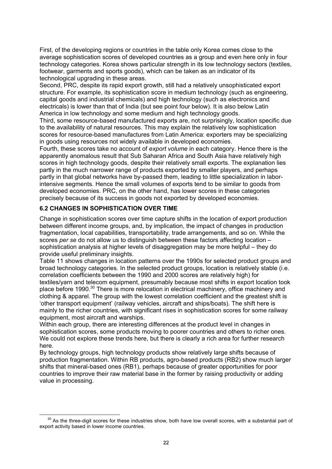First, of the developing regions or countries in the table only Korea comes close to the average sophistication scores of developed countries as a group and even here only in four technology categories. Korea shows particular strength in its low technology sectors (textiles, footwear, garments and sports goods), which can be taken as an indicator of its technological upgrading in these areas.

Second, PRC, despite its rapid export growth, still had a relatively unsophisticated export structure. For example, its sophistication score in medium technology (such as engineering, capital goods and industrial chemicals) and high technology (such as electronics and electricals) is lower than that of India (but see point four below). It is also below Latin America in low technology and some medium and high technology goods.

Third, some resource-based manufactured exports are, not surprisingly, location specific due to the availability of natural resources. This may explain the relatively low sophistication scores for resource-based manufactures from Latin America: exporters may be specializing in goods using resources not widely available in developed economies.

Fourth, these scores take no account of *export volume* in each category. Hence there is the apparently anomalous result that Sub Saharan Africa and South Asia have relatively high scores in high technology goods, despite their relatively small exports. The explanation lies partly in the much narrower range of products exported by smaller players, and perhaps partly in that global networks have by-passed them, leading to little specialization in laborintensive segments. Hence the small volumes of exports tend to be similar to goods from developed economies. PRC, on the other hand, has lower scores in these categories precisely because of its success in goods not exported by developed economies.

## **6.2 CHANGES IN SOPHISTICATION OVER TIME**

Change in sophistication scores over time capture shifts in the location of export production between different income groups, and, by implication, the impact of changes in production fragmentation, local capabilities, transportability, trade arrangements, and so on. While the scores *per se* do not allow us to distinguish between these factors affecting location – sophistication analysis at higher levels of disaggregation may be more helpful – they do provide useful preliminary insights.

Table 11 shows changes in location patterns over the 1990s for selected product groups and broad technology categories. In the selected product groups, location is relatively stable (i.e. correlation coefficients between the 1990 and 2000 scores are relatively high) for textiles/yarn and telecom equipment, presumably because most shifts in export location took place before 1990.30 There is more relocation in electrical machinery, office machinery and clothing & apparel. The group with the lowest correlation coefficient and the greatest shift is 'other transport equipment' (railway vehicles, aircraft and ships/boats). The shift here is mainly to the richer countries, with significant rises in sophistication scores for some railway equipment, most aircraft and warships.

Within each group, there are interesting differences at the product level in changes in sophistication scores, some products moving to poorer countries and others to richer ones. We could not explore these trends here, but there is clearly a rich area for further research here.

By technology groups, high technology products show relatively large shifts because of production fragmentation. Within RB products, agro-based products (RB2) show much larger shifts that mineral-based ones (RB1), perhaps because of greater opportunities for poor countries to improve their raw material base in the former by raising productivity or adding value in processing.

 $30$  As the three-digit scores for these industries show, both have low overall scores, with a substantial part of export activity based in lower income countries.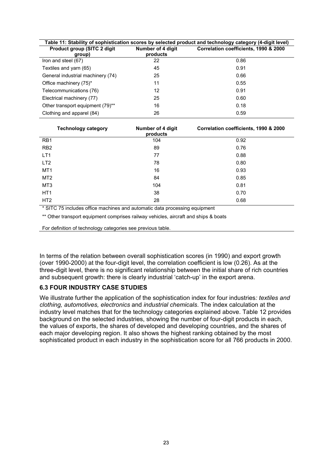| Table 11: Stability of sophistication scores by selected product and technology category (4-digit level) |                               |                                       |  |  |  |
|----------------------------------------------------------------------------------------------------------|-------------------------------|---------------------------------------|--|--|--|
| <b>Product group (SITC 2 digit)</b><br>group)                                                            | Number of 4 digit<br>products | Correlation coefficients, 1990 & 2000 |  |  |  |
| Iron and steel (67)                                                                                      | 22                            | 0.86                                  |  |  |  |
| Textiles and yarn (65)                                                                                   | 45                            | 0.91                                  |  |  |  |
| General industrial machinery (74)                                                                        | 25                            | 0.66                                  |  |  |  |
| Office machinery (75)*                                                                                   | 11                            | 0.55                                  |  |  |  |
| Telecommunications (76)                                                                                  | 12                            | 0.91                                  |  |  |  |
| Electrical machinery (77)                                                                                | 25                            | 0.60                                  |  |  |  |
| Other transport equipment (79) <sup>**</sup>                                                             | 16                            | 0.18                                  |  |  |  |
| Clothing and apparel (84)                                                                                | 26                            | 0.59                                  |  |  |  |

| <b>Technology category</b> | Number of 4 digit<br>products | Correlation coefficients, 1990 & 2000 |
|----------------------------|-------------------------------|---------------------------------------|
| R <sub>B</sub> 1           | 104                           | 0.92                                  |
| RB <sub>2</sub>            | 89                            | 0.76                                  |
| LT <sub>1</sub>            | 77                            | 0.88                                  |
| LT <sub>2</sub>            | 78                            | 0.80                                  |
| MT <sub>1</sub>            | 16                            | 0.93                                  |
| MT <sub>2</sub>            | 84                            | 0.85                                  |
| MT <sub>3</sub>            | 104                           | 0.81                                  |
| HT <sub>1</sub>            | 38                            | 0.70                                  |
| HT <sub>2</sub>            | 28                            | 0.68                                  |

\* SITC 75 includes office machines and automatic data processing equipment

\*\* Other transport equipment comprises railway vehicles, aircraft and ships & boats

For definition of technology categories see previous table.

In terms of the relation between overall sophistication scores (in 1990) and export growth (over 1990-2000) at the four-digit level, the correlation coefficient is low (0.26). As at the three-digit level, there is no significant relationship between the initial share of rich countries and subsequent growth: there is clearly industrial 'catch-up' in the export arena.

#### **6.3 FOUR INDUSTRY CASE STUDIES**

We illustrate further the application of the sophistication index for four industries*: textiles and clothing, automotives, electronics* and *industrial chemicals*. The index calculation at the industry level matches that for the technology categories explained above. Table 12 provides background on the selected industries, showing the number of four-digit products in each, the values of exports, the shares of developed and developing countries, and the shares of each major developing region. It also shows the highest ranking obtained by the most sophisticated product in each industry in the sophistication score for all 766 products in 2000.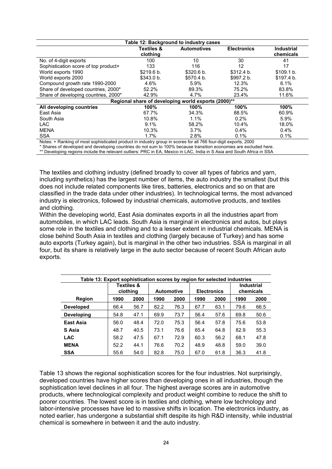| Table 12: Background to industry cases                                                                          |                       |                    |                    |                   |  |  |  |
|-----------------------------------------------------------------------------------------------------------------|-----------------------|--------------------|--------------------|-------------------|--|--|--|
|                                                                                                                 | <b>Textiles &amp;</b> | <b>Automotives</b> | <b>Electronics</b> | <b>Industrial</b> |  |  |  |
|                                                                                                                 | clothing              |                    |                    | chemicals         |  |  |  |
| No. of 4-digit exports                                                                                          | 100                   | 10                 | 30                 | 41                |  |  |  |
| Sophistication score of top product+                                                                            | 133                   | 116                | 12                 | 17                |  |  |  |
| World exports 1990                                                                                              | \$219.6 b.            | \$320.6 b.         | \$312.4 b.         | \$109.1 b.        |  |  |  |
| World exports 2000                                                                                              | \$343.0 b.            | \$570.4 b.         | \$997.2 b.         | \$197.4 b.        |  |  |  |
| Compound growth rate 1990-2000                                                                                  | 4.6%                  | $5.9\%$            | 12.3%              | 6.1%              |  |  |  |
| Share of developed countries, 2000*                                                                             | 52.2%                 | 89.3%              | 75.2%              | 83.8%             |  |  |  |
| Share of developing countries, 2000*                                                                            | 42.9%                 | 4.7%               | 23.4%              | 11.6%             |  |  |  |
| Regional share of developing world exports (2000)**                                                             |                       |                    |                    |                   |  |  |  |
| All developing countries                                                                                        | 100%                  | 100%               | 100%               | 100%              |  |  |  |
| East Asia                                                                                                       | 67.7%                 | 34.3%              | 88.5%              | 60.9%             |  |  |  |
| South Asia                                                                                                      | 10.8%                 | $1.1\%$            | 0.2%               | 5.9%              |  |  |  |
| LAC.                                                                                                            | 9.1%                  | 58.2%              | 10.4%              | 18.0%             |  |  |  |
| <b>MENA</b>                                                                                                     | 10.3%                 | 3.7%               | 0.4%               | 0.4%              |  |  |  |
| <b>SSA</b>                                                                                                      | 1.7%                  | 2.8%               | 0.1%               | 0.1%              |  |  |  |
| Notes: + Ranking of most sophisticated product in industry group in scores for all 766 four-digit exports, 2000 |                       |                    |                    |                   |  |  |  |

Notes: + Ranking of most sophisticated product in industry group in scores for all 766 four-digit exports, 2000

\* Shares of developed and developing countries do not sum to 100% because transition economies are excluded here. \*\* Developing regions include the relevant outliers: PRC in EA, Mexico in LAC, India in S Asia and South Africa in SSA

The textiles and clothing industry (defined broadly to cover all types of fabrics and yarn, including synthetics) has the largest number of items, the auto industry the smallest (but this does not include related components like tires, batteries, electronics and so on that are classified in the trade data under other industries). In technological terms, the most advanced industry is electronics, followed by industrial chemicals, automotive products, and textiles and clothing.

Within the developing world, East Asia dominates exports in all the industries apart from automobiles, in which LAC leads. South Asia is marginal in electronics and autos, but plays some role in the textiles and clothing and to a lesser extent in industrial chemicals. MENA is close behind South Asia in textiles and clothing (largely because of Turkey) and has some auto exports (Turkey again), but is marginal in the other two industries. SSA is marginal in all four, but its share is relatively large in the auto sector because of recent South African auto exports.

| Table 13: Export sophistication scores by region for selected industries |                                   |      |                   |      |                    |      |                                |      |
|--------------------------------------------------------------------------|-----------------------------------|------|-------------------|------|--------------------|------|--------------------------------|------|
|                                                                          | <b>Textiles &amp;</b><br>clothing |      | <b>Automotive</b> |      | <b>Electronics</b> |      | <b>Industrial</b><br>chemicals |      |
| Region                                                                   | 1990                              | 2000 | 1990              | 2000 | 1990               | 2000 | 1990                           | 2000 |
| <b>Developed</b>                                                         | 66.4                              | 56.7 | 82.2              | 76.3 | 67.7               | 63.1 | 79.6                           | 66.5 |
| <b>Developing</b>                                                        | 54.8                              | 47.1 | 69.9              | 73.7 | 56.4               | 57.6 | 69.8                           | 50.6 |
| <b>East Asia</b>                                                         | 56.0                              | 48.4 | 72.0              | 75.3 | 56.4               | 57.8 | 75.6                           | 53.8 |
| S Asia                                                                   | 48.7                              | 40.5 | 73.1              | 76.6 | 65.4               | 64.8 | 82.9                           | 55.3 |
| <b>LAC</b>                                                               | 58.2                              | 47.5 | 67.1              | 72.9 | 60.3               | 56.2 | 68.1                           | 47.8 |
| <b>MENA</b>                                                              | 52.2                              | 44.1 | 76.6              | 70.2 | 48.9               | 48.8 | 59.0                           | 39.0 |
| <b>SSA</b>                                                               | 55.6                              | 54.0 | 82.8              | 75.0 | 67.0               | 61.8 | 36.3                           | 41.8 |

Table 13 shows the regional sophistication scores for the four industries. Not surprisingly, developed countries have higher scores than developing ones in all industries, though the sophistication level declines in all four. The highest average scores are in automotive products, where technological complexity and product weight combine to reduce the shift to poorer countries. The lowest score is in textiles and clothing, where low technology and labor-intensive processes have led to massive shifts in location. The electronics industry, as noted earlier, has undergone a substantial shift despite its high R&D intensity, while industrial chemical is somewhere in between it and the auto industry.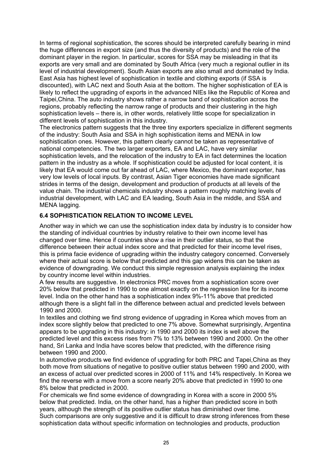In terms of regional sophistication, the scores should be interpreted carefully bearing in mind the huge differences in export size (and thus the diversity of products) and the role of the dominant player in the region. In particular, scores for SSA may be misleading in that its exports are very small and are dominated by South Africa (very much a regional outlier in its level of industrial development). South Asian exports are also small and dominated by India. East Asia has highest level of sophistication in textile and clothing exports (if SSA is discounted), with LAC next and South Asia at the bottom. The higher sophistication of EA is likely to reflect the upgrading of exports in the advanced NIEs like the Republic of Korea and Taipei,China. The auto industry shows rather a narrow band of sophistication across the regions, probably reflecting the narrow range of products and their clustering in the high sophistication levels – there is, in other words, relatively little scope for specialization in different levels of sophistication in this industry.

The electronics pattern suggests that the three tiny exporters specialize in different segments of the industry: South Asia and SSA in high sophistication items and MENA in low sophistication ones. However, this pattern clearly cannot be taken as representative of national competencies. The two larger exporters, EA and LAC, have very similar sophistication levels, and the relocation of the industry to EA in fact determines the location pattern in the industry as a whole. If sophistication could be adjusted for local content, it is likely that EA would come out far ahead of LAC, where Mexico, the dominant exporter, has very low levels of local inputs. By contrast, Asian Tiger economies have made significant strides in terms of the design, development and production of products at all levels of the value chain. The industrial chemicals industry shows a pattern roughly matching levels of industrial development, with LAC and EA leading, South Asia in the middle, and SSA and MENA lagging.

## **6.4 SOPHISTICATION RELATION TO INCOME LEVEL**

Another way in which we can use the sophistication index data by industry is to consider how the standing of individual countries by industry relative to their own income level has changed over time. Hence if countries show a rise in their outlier status, so that the difference between their actual index score and that predicted for their income level rises, this is prima facie evidence of upgrading within the industry category concerned. Conversely where their actual score is below that predicted and this gap widens this can be taken as evidence of downgrading. We conduct this simple regression analysis explaining the index by country income level within industries.

A few results are suggestive. In electronics PRC moves from a sophistication score over 20% below that predicted in 1990 to one almost exactly on the regression line for its income level. India on the other hand has a sophistication index 9%-11% above that predicted although there is a slight fall in the difference between actual and predicted levels between 1990 and 2000.

In textiles and clothing we find strong evidence of upgrading in Korea which moves from an index score slightly below that predicted to one 7% above. Somewhat surprisingly, Argentina appears to be upgrading in this industry: in 1990 and 2000 its index is well above the predicted level and this excess rises from 7% to 13% between 1990 and 2000. On the other hand, Sri Lanka and India have scores below that predicted, with the difference rising between 1990 and 2000.

In automotive products we find evidence of upgrading for both PRC and Tapei,China as they both move from situations of negative to positive outlier status between 1990 and 2000, with an excess of actual over predicted scores in 2000 of 11% and 14% respectively. In Korea we find the reverse with a move from a score nearly 20% above that predicted in 1990 to one 8% below that predicted in 2000.

For chemicals we find some evidence of downgrading in Korea with a score in 2000 5% below that predicted. India, on the other hand, has a higher than predicted score in both years, although the strength of its positive outlier status has diminished over time. Such comparisons are only suggestive and it is difficult to draw strong inferences from these sophistication data without specific information on technologies and products, production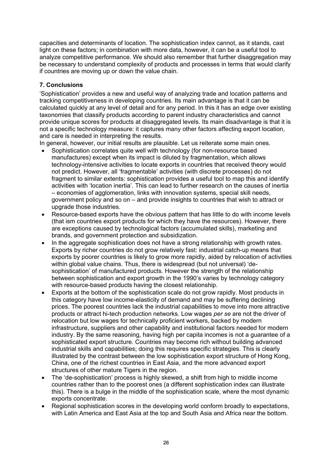capacities and determinants of location. The sophistication index cannot, as it stands, cast light on these factors; in combination with more data, however, it can be a useful tool to analyze competitive performance. We should also remember that further disaggregation may be necessary to understand complexity of products and processes in terms that would clarify if countries are moving up or down the value chain.

## **7. Conclusions**

'Sophistication' provides a new and useful way of analyzing trade and location patterns and tracking competitiveness in developing countries. Its main advantage is that it can be calculated quickly at any level of detail and for any period. In this it has an edge over existing taxonomies that classify products according to parent industry characteristics and cannot provide unique scores for products at disaggregated levels. Its main disadvantage is that it is not a specific technology measure: it captures many other factors affecting export location, and care is needed in interpreting the results.

In general, however, our initial results are plausible. Let us reiterate some main ones.

- Sophistication correlates quite well with technology (for non-resource based manufactures) except when its impact is diluted by fragmentation, which allows technology-intensive activities to locate exports in countries that received theory would not predict. However, all 'fragmentable' activities (with discrete processes) do not fragment to similar extents: sophistication provides a useful tool to map this and identify activities with 'location inertia'. This can lead to further research on the causes of inertia – economies of agglomeration, links with innovation systems, special skill needs, government policy and so on – and provide insights to countries that wish to attract or upgrade those industries.
- Resource-based exports have the obvious pattern that has little to do with income levels (that ism countries export products for which they have the resources). However, there are exceptions caused by technological factors (accumulated skills), marketing and brands, and government protection and subsidization.
- In the aggregate sophistication does not have a strong relationship with growth rates. Exports by richer countries do not grow relatively fast: industrial catch-up means that exports by poorer countries is likely to grow more rapidly, aided by relocation of activities within global value chains. Thus, there is widespread (but not universal) 'desophistication' of manufactured products. However the strength of the relationship between sophistication and export growth in the 1990's varies by technology category with resource-based products having the closest relationship.
- Exports at the bottom of the sophistication scale do not grow rapidly. Most products in this category have low income-elasticity of demand and may be suffering declining prices. The poorest countries lack the industrial capabilities to move into more attractive products or attract hi-tech production networks. Low wages *per se* are not the driver of relocation but low wages for technically proficient workers, backed by modern infrastructure, suppliers and other capability and institutional factors needed for modern industry. By the same reasoning, having high per capita incomes is not a guarantee of a sophisticated export structure. Countries may become rich without building advanced industrial skills and capabilities; doing this requires specific strategies. This is clearly illustrated by the contrast between the low sophistication export structure of Hong Kong, China, one of the richest countries in East Asia, and the more advanced export structures of other mature Tigers in the region.
- The 'de-sophistication' process is highly skewed, a shift from high to middle income countries rather than to the poorest ones (a different sophistication index can illustrate this). There is a bulge in the middle of the sophistication scale, where the most dynamic exports concentrate.
- Regional sophistication scores in the developing world conform broadly to expectations, with Latin America and East Asia at the top and South Asia and Africa near the bottom.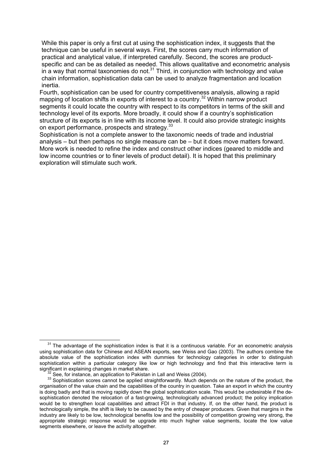While this paper is only a first cut at using the sophistication index, it suggests that the technique can be useful in several ways. First, the scores carry much information of practical and analytical value, if interpreted carefully. Second, the scores are productspecific and can be as detailed as needed. This allows qualitative and econometric analysis in a way that normal taxonomies do not. $31$  Third, in conjunction with technology and value chain information, sophistication data can be used to analyze fragmentation and location inertia.

Fourth, sophistication can be used for country competitiveness analysis, allowing a rapid mapping of location shifts in exports of interest to a country.<sup>32</sup> Within narrow product segments it could locate the country with respect to its competitors in terms of the skill and technology level of its exports. More broadly, it could show if a country's sophistication structure of its exports is in line with its income level. It could also provide strategic insights on export performance, prospects and strategy.<sup>33</sup>

Sophistication is not a complete answer to the taxonomic needs of trade and industrial analysis – but then perhaps no single measure can be – but it does move matters forward. More work is needed to refine the index and construct other indices (geared to middle and low income countries or to finer levels of product detail). It is hoped that this preliminary exploration will stimulate such work.

 $31$  The advantage of the sophistication index is that it is a continuous variable. For an econometric analysis using sophistication data for Chinese and ASEAN exports, see Weiss and Gao (2003). The authors combine the absolute value of the sophistication index with dummies for technology categories in order to distinguish sophistication within a particular category like low or high technology and find that this interactive term is significant in explaining changes in market share.

 $32$  See, for instance, an application to Pakistan in Lall and Weiss (2004).<br> $33$  Sophistication scores cannot be applied straightforwardly. Much depends on the nature of the product, the organisation of the value chain and the capabilities of the country in question. Take an export in which the country is doing badly and that is moving rapidly down the global sophistication scale. This would be undesirable if the desophistication denoted the relocation of a fast-growing, technologically advanced product; the policy implication would be to strengthen local capabilities and attract FDI in that industry. If, on the other hand, the product is technologically simple, the shift is likely to be caused by the entry of cheaper producers. Given that margins in the industry are likely to be low, technological benefits low and the possibility of competition growing very strong, the appropriate strategic response would be upgrade into much higher value segments, locate the low value segments elsewhere, or leave the activity altogether.